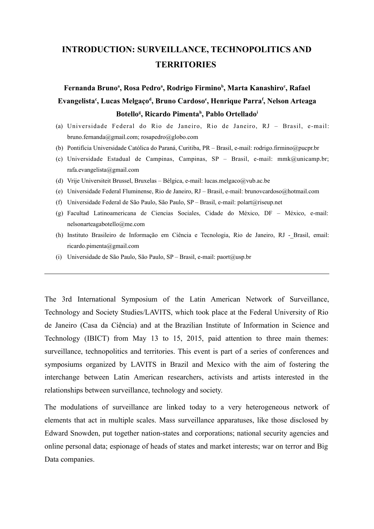## **INTRODUCTION: SURVEILLANCE, TECHNOPOLITICS AND TERRITORIES**

**Fernanda Bruno<sup>a</sup> , Rosa Pedro<sup>a</sup> , Rodrigo Firmino<sup>b</sup> , Marta Kanashiro<sup>c</sup> , Rafael Evangelista<sup>c</sup> , Lucas Melgaço<sup>d</sup> , Bruno Cardoso<sup>e</sup> , Henrique Parra<sup>f</sup> , Nelson Arteaga Botello<sup>g</sup> , Ricardo Pimenta<sup>h</sup> , Pablo Ortellado<sup>i</sup>**

- (a) Universidade Federal do Rio de Janeiro, Rio de Janeiro, RJ Brasil, e-mail: bruno.fernanda@gmail.com; rosapedro@globo.com
- (b) Pontifícia Universidade Católica do Paraná, Curitiba, PR Brasil, e-mail: rodrigo.firmino@pucpr.br
- (c) Universidade Estadual de Campinas, Campinas, SP Brasil, e-mail: mmk@unicamp.br; rafa.evangelista@gmail.com
- (d) Vrije Universiteit Brussel, Bruxelas Bélgica, e-mail: lucas.melgaco@vub.ac.be
- (e) Universidade Federal Fluminense, Rio de Janeiro, RJ Brasil, e-mail: brunovcardoso@hotmail.com
- (f) Universidade Federal de São Paulo, São Paulo, SP Brasil, e-mail: polart@riseup.net
- (g) Facultad Latinoamericana de Ciencias Sociales, Cidade do México, DF México, e-mail: nelsonarteagabotello@me.com
- (h) Instituto Brasileiro de Informação em Ciência e Tecnologia, Rio de Janeiro, RJ -\_Brasil, email: ricardo.pimenta@gmail.com
- (i) Universidade de São Paulo, São Paulo, SP Brasil, e-mail: paort@usp.br

The 3rd International Symposium of the Latin American Network of Surveillance, Technology and Society Studies/LAVITS, which took place at the Federal University of Rio de Janeiro (Casa da Ciência) and at the Brazilian Institute of Information in Science and Technology (IBICT) from May 13 to 15, 2015, paid attention to three main themes: surveillance, technopolitics and territories. This event is part of a series of conferences and symposiums organized by LAVITS in Brazil and Mexico with the aim of fostering the interchange between Latin American researchers, activists and artists interested in the relationships between surveillance, technology and society.

The modulations of surveillance are linked today to a very heterogeneous network of elements that act in multiple scales. Mass surveillance apparatuses, like those disclosed by Edward Snowden, put together nation-states and corporations; national security agencies and online personal data; espionage of heads of states and market interests; war on terror and Big Data companies.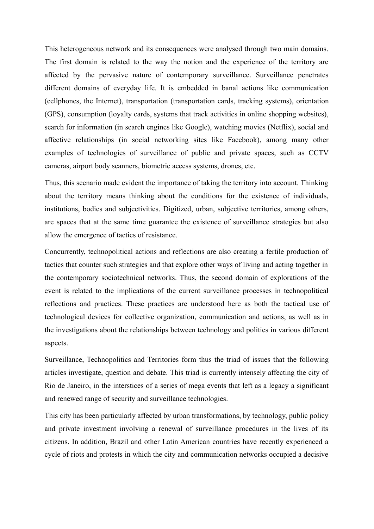This heterogeneous network and its consequences were analysed through two main domains. The first domain is related to the way the notion and the experience of the territory are affected by the pervasive nature of contemporary surveillance. Surveillance penetrates different domains of everyday life. It is embedded in banal actions like communication (cellphones, the Internet), transportation (transportation cards, tracking systems), orientation (GPS), consumption (loyalty cards, systems that track activities in online shopping websites), search for information (in search engines like Google), watching movies (Netflix), social and affective relationships (in social networking sites like Facebook), among many other examples of technologies of surveillance of public and private spaces, such as CCTV cameras, airport body scanners, biometric access systems, drones, etc.

Thus, this scenario made evident the importance of taking the territory into account. Thinking about the territory means thinking about the conditions for the existence of individuals, institutions, bodies and subjectivities. Digitized, urban, subjective territories, among others, are spaces that at the same time guarantee the existence of surveillance strategies but also allow the emergence of tactics of resistance.

Concurrently, technopolitical actions and reflections are also creating a fertile production of tactics that counter such strategies and that explore other ways of living and acting together in the contemporary sociotechnical networks. Thus, the second domain of explorations of the event is related to the implications of the current surveillance processes in technopolitical reflections and practices. These practices are understood here as both the tactical use of technological devices for collective organization, communication and actions, as well as in the investigations about the relationships between technology and politics in various different aspects.

Surveillance, Technopolitics and Territories form thus the triad of issues that the following articles investigate, question and debate. This triad is currently intensely affecting the city of Rio de Janeiro, in the interstices of a series of mega events that left as a legacy a significant and renewed range of security and surveillance technologies.

This city has been particularly affected by urban transformations, by technology, public policy and private investment involving a renewal of surveillance procedures in the lives of its citizens. In addition, Brazil and other Latin American countries have recently experienced a cycle of riots and protests in which the city and communication networks occupied a decisive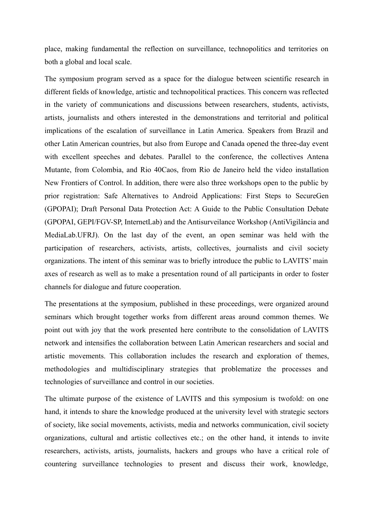place, making fundamental the reflection on surveillance, technopolitics and territories on both a global and local scale.

The symposium program served as a space for the dialogue between scientific research in different fields of knowledge, artistic and technopolitical practices. This concern was reflected in the variety of communications and discussions between researchers, students, activists, artists, journalists and others interested in the demonstrations and territorial and political implications of the escalation of surveillance in Latin America. Speakers from Brazil and other Latin American countries, but also from Europe and Canada opened the three-day event with excellent speeches and debates. Parallel to the conference, the collectives Antena Mutante, from Colombia, and Rio 40Caos, from Rio de Janeiro held the video installation New Frontiers of Control. In addition, there were also three workshops open to the public by prior registration: Safe Alternatives to Android Applications: First Steps to SecureGen (GPOPAI); Draft Personal Data Protection Act: A Guide to the Public Consultation Debate (GPOPAI, GEPI/FGV-SP, InternetLab) and the Antisurveilance Workshop (AntiVigilância and MediaLab.UFRJ). On the last day of the event, an open seminar was held with the participation of researchers, activists, artists, collectives, journalists and civil society organizations. The intent of this seminar was to briefly introduce the public to LAVITS' main axes of research as well as to make a presentation round of all participants in order to foster channels for dialogue and future cooperation.

The presentations at the symposium, published in these proceedings, were organized around seminars which brought together works from different areas around common themes. We point out with joy that the work presented here contribute to the consolidation of LAVITS network and intensifies the collaboration between Latin American researchers and social and artistic movements. This collaboration includes the research and exploration of themes, methodologies and multidisciplinary strategies that problematize the processes and technologies of surveillance and control in our societies.

The ultimate purpose of the existence of LAVITS and this symposium is twofold: on one hand, it intends to share the knowledge produced at the university level with strategic sectors of society, like social movements, activists, media and networks communication, civil society organizations, cultural and artistic collectives etc.; on the other hand, it intends to invite researchers, activists, artists, journalists, hackers and groups who have a critical role of countering surveillance technologies to present and discuss their work, knowledge,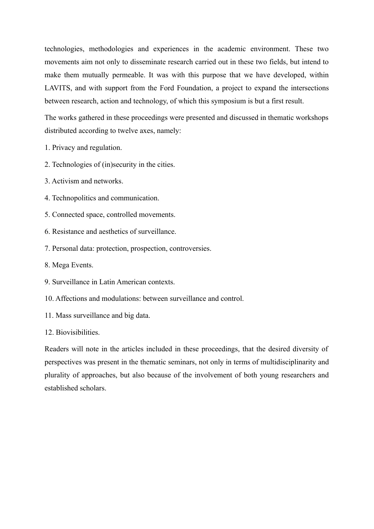technologies, methodologies and experiences in the academic environment. These two movements aim not only to disseminate research carried out in these two fields, but intend to make them mutually permeable. It was with this purpose that we have developed, within LAVITS, and with support from the Ford Foundation, a project to expand the intersections between research, action and technology, of which this symposium is but a first result.

The works gathered in these proceedings were presented and discussed in thematic workshops distributed according to twelve axes, namely:

- 1. Privacy and regulation.
- 2. Technologies of (in)security in the cities.
- 3. Activism and networks.
- 4. Technopolitics and communication.
- 5. Connected space, controlled movements.
- 6. Resistance and aesthetics of surveillance.
- 7. Personal data: protection, prospection, controversies.
- 8. Mega Events.
- 9. Surveillance in Latin American contexts.
- 10. Affections and modulations: between surveillance and control.
- 11. Mass surveillance and big data.
- 12. Biovisibilities.

Readers will note in the articles included in these proceedings, that the desired diversity of perspectives was present in the thematic seminars, not only in terms of multidisciplinarity and plurality of approaches, but also because of the involvement of both young researchers and established scholars.